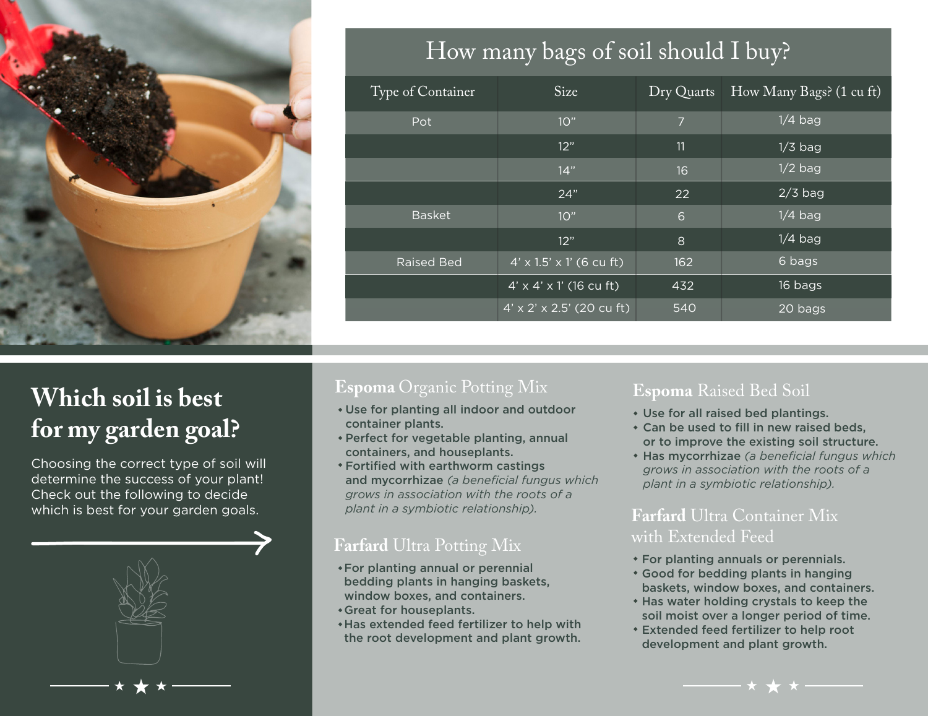

## How many bags of soil should I buy?

| Type of Container | Size                                  | Dry Quarts     | How Many Bags? (1 cu ft) |
|-------------------|---------------------------------------|----------------|--------------------------|
| Pot               | 10"                                   | $\overline{7}$ | $1/4$ bag                |
|                   | 12"                                   | 11             | $1/3$ bag                |
|                   | 14"                                   | 16             | $1/2$ bag                |
|                   | 24"                                   | 22             | $2/3$ bag                |
| <b>Basket</b>     | 10"                                   | 6              | $1/4$ bag                |
|                   | 12"                                   | 8              | $1/4$ bag                |
| <b>Raised Bed</b> | $4' \times 1.5' \times 1'$ (6 cu ft)  | 162            | 6 bags                   |
|                   | $4' \times 4' \times 1'$ (16 cu ft)   | 432            | 16 bags                  |
|                   | $4' \times 2' \times 2.5'$ (20 cu ft) | 540            | 20 bags                  |

# **Which soil is best for my garden goal?**

Choosing the correct type of soil will determine the success of your plant! Check out the following to decide which is best for your garden goals.

### **Espoma** Organic Potting Mix

- Use for planting all indoor and outdoor container plants.
- Perfect for vegetable planting, annual containers, and houseplants.
- Fortified with earthworm castings and mycorrhizae *(a beneficial fungus which grows in association with the roots of a plant in a symbiotic relationship).* **Farfard** Ultra Container Mix

#### **Farfard** Ultra Potting Mix

- For planting annual or perennial bedding plants in hanging baskets, window boxes, and containers.
- Great for houseplants.
- Has extended feed fertilizer to help with the root development and plant growth.

#### **Espoma** Raised Bed Soil

- Use for all raised bed plantings.
- Can be used to fill in new raised beds, or to improve the existing soil structure.
- Has mycorrhizae *(a beneficial fungus which grows in association with the roots of a plant in a symbiotic relationship).*

# with Extended Feed

- For planting annuals or perennials.
- Good for bedding plants in hanging baskets, window boxes, and containers.
- Has water holding crystals to keep the soil moist over a longer period of time.
- Extended feed fertilizer to help root development and plant growth.